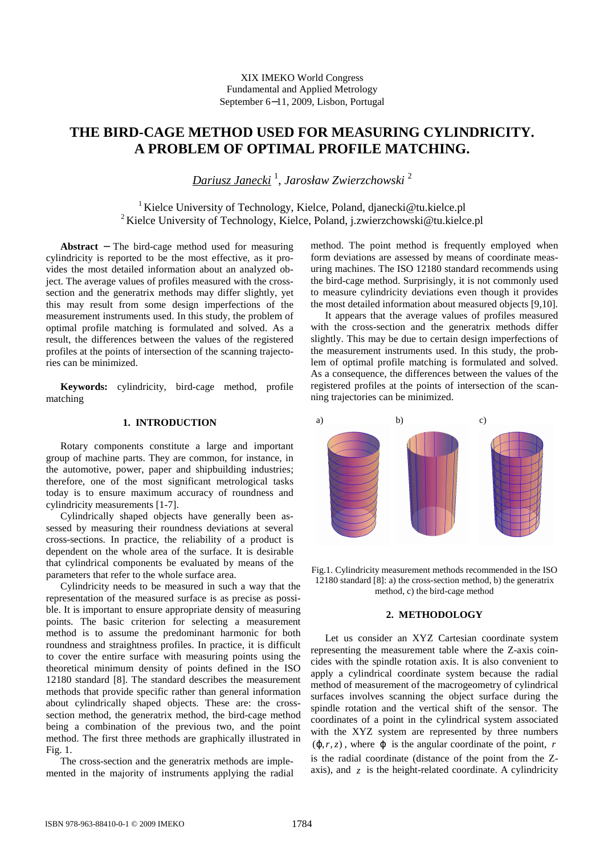XIX IMEKO World Congress Fundamental and Applied Metrology September 6−11, 2009, Lisbon, Portugal

# **THE BIRD-CAGE METHOD USED FOR MEASURING CYLINDRICITY. A PROBLEM OF OPTIMAL PROFILE MATCHING.**

*Dariusz Janecki* <sup>1</sup> , *Jarosław Zwierzchowski* <sup>2</sup>

<sup>1</sup> Kielce University of Technology, Kielce, Poland, djanecki@tu.kielce.pl <sup>2</sup>Kielce University of Technology, Kielce, Poland, j.zwierzchowski@tu.kielce.pl

**Abstract** − The bird-cage method used for measuring cylindricity is reported to be the most effective, as it provides the most detailed information about an analyzed object. The average values of profiles measured with the crosssection and the generatrix methods may differ slightly, yet this may result from some design imperfections of the measurement instruments used. In this study, the problem of optimal profile matching is formulated and solved. As a result, the differences between the values of the registered profiles at the points of intersection of the scanning trajectories can be minimized.

**Keywords:** cylindricity, bird-cage method, profile matching

# **1. INTRODUCTION**

Rotary components constitute a large and important group of machine parts. They are common, for instance, in the automotive, power, paper and shipbuilding industries; therefore, one of the most significant metrological tasks today is to ensure maximum accuracy of roundness and cylindricity measurements [1-7].

Cylindrically shaped objects have generally been assessed by measuring their roundness deviations at several cross-sections. In practice, the reliability of a product is dependent on the whole area of the surface. It is desirable that cylindrical components be evaluated by means of the parameters that refer to the whole surface area.

Cylindricity needs to be measured in such a way that the representation of the measured surface is as precise as possible. It is important to ensure appropriate density of measuring points. The basic criterion for selecting a measurement method is to assume the predominant harmonic for both roundness and straightness profiles. In practice, it is difficult to cover the entire surface with measuring points using the theoretical minimum density of points defined in the ISO 12180 standard [8]. The standard describes the measurement methods that provide specific rather than general information about cylindrically shaped objects. These are: the crosssection method, the generatrix method, the bird-cage method being a combination of the previous two, and the point method. The first three methods are graphically illustrated in Fig. 1.

The cross-section and the generatrix methods are implemented in the majority of instruments applying the radial method. The point method is frequently employed when form deviations are assessed by means of coordinate measuring machines. The ISO 12180 standard recommends using the bird-cage method. Surprisingly, it is not commonly used to measure cylindricity deviations even though it provides the most detailed information about measured objects [9,10].

It appears that the average values of profiles measured with the cross-section and the generatrix methods differ slightly. This may be due to certain design imperfections of the measurement instruments used. In this study, the problem of optimal profile matching is formulated and solved. As a consequence, the differences between the values of the registered profiles at the points of intersection of the scanning trajectories can be minimized.



Fig.1. Cylindricity measurement methods recommended in the ISO 12180 standard [8]: a) the cross-section method, b) the generatrix method, c) the bird-cage method

#### **2. METHODOLOGY**

Let us consider an XYZ Cartesian coordinate system representing the measurement table where the Z-axis coincides with the spindle rotation axis. It is also convenient to apply a cylindrical coordinate system because the radial method of measurement of the macrogeometry of cylindrical surfaces involves scanning the object surface during the spindle rotation and the vertical shift of the sensor. The coordinates of a point in the cylindrical system associated with the XYZ system are represented by three numbers  $(\varphi, r, z)$ , where  $\varphi$  is the angular coordinate of the point, *r* is the radial coordinate (distance of the point from the Zaxis), and  $z$  is the height-related coordinate. A cylindricity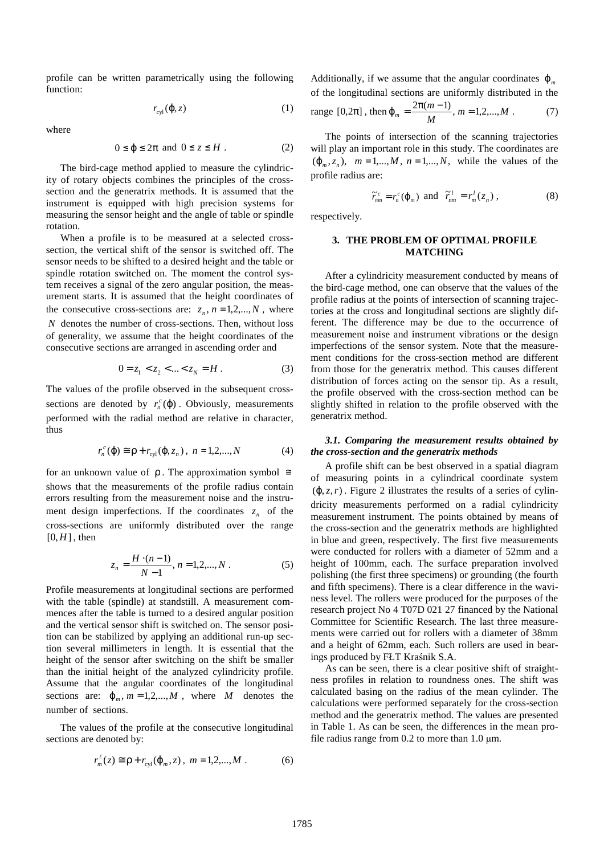profile can be written parametrically using the following function:

$$
r_{\rm cyl}(\phi, z) \tag{1}
$$

where

$$
0 \le \varphi \le 2\pi \text{ and } 0 \le z \le H. \tag{2}
$$

The bird-cage method applied to measure the cylindricity of rotary objects combines the principles of the crosssection and the generatrix methods. It is assumed that the instrument is equipped with high precision systems for measuring the sensor height and the angle of table or spindle rotation.

When a profile is to be measured at a selected crosssection, the vertical shift of the sensor is switched off. The sensor needs to be shifted to a desired height and the table or spindle rotation switched on. The moment the control system receives a signal of the zero angular position, the measurement starts. It is assumed that the height coordinates of the consecutive cross-sections are:  $z_n$ ,  $n = 1, 2, \dots, N$ , where *N* denotes the number of cross-sections. Then, without loss of generality, we assume that the height coordinates of the consecutive sections are arranged in ascending order and

$$
0 = z_1 < z_2 < \dots < z_N = H \tag{3}
$$

The values of the profile observed in the subsequent crosssections are denoted by  $r_n^c(\varphi)$ . Obviously, measurements performed with the radial method are relative in character, thus

$$
r_n^c(\mathbf{\varphi}) \cong \mathbf{p} + r_{\text{cyl}}(\mathbf{\varphi}, z_n), \ n = 1, 2, ..., N \tag{4}
$$

for an unknown value of  $\rho$ . The approximation symbol  $\cong$ shows that the measurements of the profile radius contain errors resulting from the measurement noise and the instrument design imperfections. If the coordinates  $z_n$  of the cross-sections are uniformly distributed over the range  $[0,H]$ , then

$$
z_n = \frac{H \cdot (n-1)}{N-1}, n = 1, 2, \dots, N. \tag{5}
$$

Profile measurements at longitudinal sections are performed with the table (spindle) at standstill. A measurement commences after the table is turned to a desired angular position and the vertical sensor shift is switched on. The sensor position can be stabilized by applying an additional run-up section several millimeters in length. It is essential that the height of the sensor after switching on the shift be smaller than the initial height of the analyzed cylindricity profile. Assume that the angular coordinates of the longitudinal sections are:  $\varphi_m$ ,  $m = 1, 2, ..., M$ , where *M* denotes the number of sections.

The values of the profile at the consecutive longitudinal sections are denoted by:

$$
r_m^{\ell}(z) \cong \rho + r_{\text{cyl}}(\varphi_m, z), \ m = 1, 2, \dots, M. \tag{6}
$$

Additionally, if we assume that the angular coordinates  $\varphi_m$ of the longitudinal sections are uniformly distributed in the

range [0,2
$$
\pi
$$
], then  $\varphi_m = \frac{2\pi(m-1)}{M}$ ,  $m = 1, 2, ..., M$ . (7)

The points of intersection of the scanning trajectories will play an important role in this study. The coordinates are  $(\varphi_m, z_n)$ ,  $m = 1,...,M$ ,  $n = 1,...,N$ , while the values of the profile radius are:

$$
\widetilde{r}_{nm}^c = r_n^c(\varphi_m) \text{ and } \widetilde{r}_{nm}^l = r_m^l(z_n) ,
$$
 (8)

respectively.

# **3. THE PROBLEM OF OPTIMAL PROFILE MATCHING**

After a cylindricity measurement conducted by means of the bird-cage method, one can observe that the values of the profile radius at the points of intersection of scanning trajectories at the cross and longitudinal sections are slightly different. The difference may be due to the occurrence of measurement noise and instrument vibrations or the design imperfections of the sensor system. Note that the measurement conditions for the cross-section method are different from those for the generatrix method. This causes different distribution of forces acting on the sensor tip. As a result, the profile observed with the cross-section method can be slightly shifted in relation to the profile observed with the generatrix method.

## *3.1. Comparing the measurement results obtained by the cross-section and the generatrix methods*

A profile shift can be best observed in a spatial diagram of measuring points in a cylindrical coordinate system  $(\varphi, z, r)$ . Figure 2 illustrates the results of a series of cylindricity measurements performed on a radial cylindricity measurement instrument. The points obtained by means of the cross-section and the generatrix methods are highlighted in blue and green, respectively. The first five measurements were conducted for rollers with a diameter of 52mm and a height of 100mm, each. The surface preparation involved polishing (the first three specimens) or grounding (the fourth and fifth specimens). There is a clear difference in the waviness level. The rollers were produced for the purposes of the research project No 4 T07D 021 27 financed by the National Committee for Scientific Research. The last three measurements were carried out for rollers with a diameter of 38mm and a height of 62mm, each. Such rollers are used in bearings produced by FŁT Kraśnik S.A.

As can be seen, there is a clear positive shift of straightness profiles in relation to roundness ones. The shift was calculated basing on the radius of the mean cylinder. The calculations were performed separately for the cross-section method and the generatrix method. The values are presented in Table 1. As can be seen, the differences in the mean profile radius range from  $0.2$  to more than  $1.0 \mu m$ .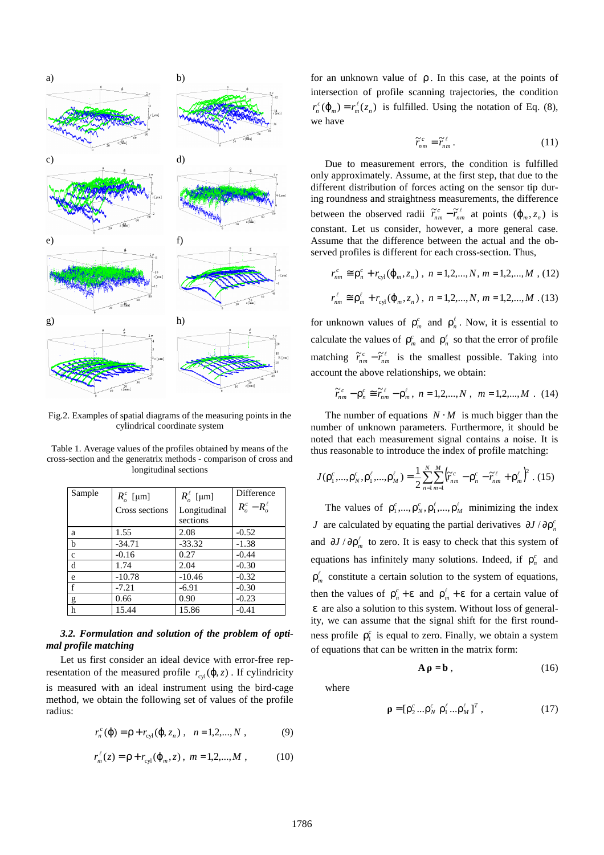

Fig.2. Examples of spatial diagrams of the measuring points in the cylindrical coordinate system

Table 1. Average values of the profiles obtained by means of the cross-section and the generatrix methods - comparison of cross and longitudinal sections

| Sample       | $R_o^c$ [µm]<br>Cross sections | $R_{\scriptscriptstyle{\alpha}}^{\ell}$ [µm]<br>Longitudinal<br>sections | Difference<br>$R_o^c - R_o^{\ell}$ |
|--------------|--------------------------------|--------------------------------------------------------------------------|------------------------------------|
| a            | 1.55                           | 2.08                                                                     | $-0.52$                            |
| b            | $-34.71$                       | $-33.32$                                                                 | $-1.38$                            |
| $\mathbf{C}$ | $-0.16$                        | 0.27                                                                     | $-0.44$                            |
| d            | 1.74                           | 2.04                                                                     | $-0.30$                            |
| e            | $-10.78$                       | $-10.46$                                                                 | $-0.32$                            |
| f            | $-7.21$                        | $-6.91$                                                                  | $-0.30$                            |
| g            | 0.66                           | 0.90                                                                     | $-0.23$                            |
| h            | 15.44                          | 15.86                                                                    | $-0.41$                            |

# *3.2. Formulation and solution of the problem of optimal profile matching*

Let us first consider an ideal device with error-free representation of the measured profile  $r_{\text{cyl}}(\varphi, z)$ . If cylindricity is measured with an ideal instrument using the bird-cage method, we obtain the following set of values of the profile radius:

$$
r_n^c(\mathbf{\varphi}) = \mathbf{p} + r_{\text{cyl}}(\mathbf{\varphi}, z_n) \,, \quad n = 1, 2, \dots, N \,, \tag{9}
$$

$$
r_m^{\ell}(z) = \rho + r_{\text{cyl}}(\varphi_m, z), \ m = 1, 2, \dots, M \ , \tag{10}
$$

for an unknown value of  $\rho$ . In this case, at the points of intersection of profile scanning trajectories, the condition  $r_n^c(\varphi_m) = r_m^{\ell}(z_n)$  is fulfilled. Using the notation of Eq. (8), we have

$$
\widetilde{r}_{nm}^c = \widetilde{r}_{nm}^{\ell} \,. \tag{11}
$$

Due to measurement errors, the condition is fulfilled only approximately. Assume, at the first step, that due to the different distribution of forces acting on the sensor tip during roundness and straightness measurements, the difference between the observed radii  $\tilde{r}_{nm}^c - \tilde{r}_{nm}^\ell$  at points  $(\varphi_m, z_n)$  is constant. Let us consider, however, a more general case. Assume that the difference between the actual and the observed profiles is different for each cross-section. Thus,

$$
r_{nm}^c \cong \rho_n^c + r_{cyl}(\varphi_m, z_n), \quad n = 1, 2, \dots, N, \ m = 1, 2, \dots, M \ , \ (12)
$$
  

$$
r_{nm}^{\ell} \cong \rho_m^{\ell} + r_{cyl}(\varphi_m, z_n), \quad n = 1, 2, \dots, N, \ m = 1, 2, \dots, M \ . \ (13)
$$

for unknown values of  $\rho_m^c$  and  $\rho_n^{\ell}$ . Now, it is essential to calculate the values of  $\rho_m^c$  and  $\rho_n^{\ell}$  so that the error of profile matching  $\tilde{r}_{nm}^c - \tilde{r}_{nm}^\ell$  is the smallest possible. Taking into account the above relationships, we obtain:

$$
\widetilde{r}_{nm}^c - \rho_n^c \cong \widetilde{r}_{nm}^{\ell} - \rho_m^{\ell}, \ n = 1, 2, ..., N, \ m = 1, 2, ..., M. \ (14)
$$

The number of equations  $N \cdot M$  is much bigger than the number of unknown parameters. Furthermore, it should be noted that each measurement signal contains a noise. It is thus reasonable to introduce the index of profile matching:

$$
J(\rho_1^c, ..., \rho_N^c, \rho_1^{\ell}, ..., \rho_M^{\ell}) = \frac{1}{2} \sum_{n=1}^N \sum_{m=1}^M (\tilde{r}_{nm}^c - \rho_n^c - \tilde{r}_{nm}^{\ell} + \rho_m^{\ell})^2
$$
 (15)

The values of  $\rho_1^c$ , ...,  $\rho_N^c$ ,  $\rho_1^{\ell}$ , ...,  $\rho_M^{\ell}$  minimizing the index *J* are calculated by equating the partial derivatives  $\partial J / \partial \rho_n^c$ and  $\partial J / \partial \rho_m^{\ell}$  to zero. It is easy to check that this system of equations has infinitely many solutions. Indeed, if  $\rho_n^c$  and  $\rho_m^{\ell}$  constitute a certain solution to the system of equations, then the values of  $\rho_n^c + \varepsilon$  and  $\rho_m^{\ell} + \varepsilon$  $\sum_{m=1}^{\ell}$  +  $\epsilon$  for a certain value of ε are also a solution to this system. Without loss of generality, we can assume that the signal shift for the first roundness profile  $\rho_1^c$  is equal to zero. Finally, we obtain a system of equations that can be written in the matrix form:

$$
\mathbf{A}\,\mathbf{p}=\mathbf{b}\,,\tag{16}
$$

where

$$
\mathbf{p} = [\rho_2^c \dots \rho_N^c \ \rho_1^\ell \dots \rho_M^\ell]^T \,, \tag{17}
$$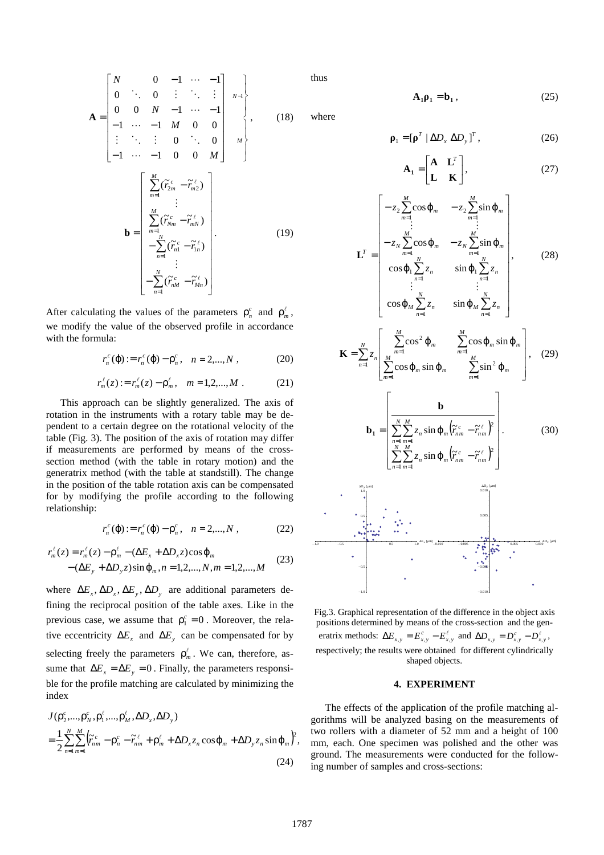$$
\mathbf{A} = \begin{bmatrix} N & 0 & -1 & \cdots & -1 \\ 0 & \ddots & 0 & \vdots & \ddots & \vdots \\ 0 & 0 & N & -1 & \cdots & -1 \\ -1 & \cdots & -1 & M & 0 & 0 \\ \vdots & \ddots & \vdots & 0 & \ddots & 0 \\ -1 & \cdots & -1 & 0 & 0 & M \end{bmatrix}, \qquad (18)
$$

$$
\mathbf{b} = \begin{bmatrix} \sum_{m=1}^{M} (\widetilde{r}_{2m}^{c} - \widetilde{r}_{m2}^{e}) \\ \vdots \\ \sum_{m=1}^{M} (\widetilde{r}_{2m}^{c} - \widetilde{r}_{mN}^{e}) \\ \vdots \\ \sum_{n=1}^{N} (\widetilde{r}_{n1}^{c} - \widetilde{r}_{1n}^{e}) \\ \vdots \\ -\sum_{n=1}^{N} (\widetilde{r}_{nM}^{c} - \widetilde{r}_{1m}^{e}) \end{bmatrix} . \qquad (19)
$$

After calculating the values of the parameters  $\rho_n^c$  and  $\rho_m^{\ell}$ , we modify the value of the observed profile in accordance with the formula:

$$
r_n^c(\mathbf{\varphi}) := r_n^c(\mathbf{\varphi}) - \mathbf{\rho}_n^c, \quad n = 2,...,N, \qquad (20)
$$

$$
r_m^{\ell}(z) := r_m^{\ell}(z) - \rho_m^{\ell}, \quad m = 1, 2, ..., M
$$
 (21)

This approach can be slightly generalized. The axis of rotation in the instruments with a rotary table may be dependent to a certain degree on the rotational velocity of the table (Fig. 3). The position of the axis of rotation may differ if measurements are performed by means of the crosssection method (with the table in rotary motion) and the generatrix method (with the table at standstill). The change in the position of the table rotation axis can be compensated for by modifying the profile according to the following relationship:

$$
r_n^c(\mathbf{\varphi}) := r_n^c(\mathbf{\varphi}) - \mathbf{\rho}_n^c, \quad n = 2,...,N , \qquad (22)
$$

$$
r_m^{\ell}(z) = r_m^{\ell}(z) - \rho_m^{\ell} - (\Delta E_x + \Delta D_x z) \cos \varphi_m - (\Delta E_y + \Delta D_y z) \sin \varphi_m, n = 1, 2, ..., N, m = 1, 2, ..., M
$$
 (23)

where  $\Delta E_x$ ,  $\Delta D_x$ ,  $\Delta E_y$ ,  $\Delta D_y$  are additional parameters defining the reciprocal position of the table axes. Like in the previous case, we assume that  $\rho_1^c = 0$ . Moreover, the relative eccentricity  $\Delta E_x$  and  $\Delta E_y$  can be compensated for by selecting freely the parameters  $\rho_m^{\ell}$ . We can, therefore, assume that  $\Delta E_x = \Delta E_y = 0$ . Finally, the parameters responsible for the profile matching are calculated by minimizing the index

$$
J(\rho_2^c, ..., \rho_N^c, \rho_1^\ell, ..., \rho_M^\ell, \Delta D_x, \Delta D_y)
$$
  
= 
$$
\frac{1}{2} \sum_{n=1}^N \sum_{m=1}^M (\tilde{r}_{nm}^c - \rho_n^c - \tilde{r}_{nm}^\ell + \rho_m^\ell + \Delta D_x z_n \cos \varphi_m + \Delta D_y z_n \sin \varphi_m)^2,
$$
  
(24)

thus

$$
\mathbf{A}_1 \mathbf{\rho}_1 = \mathbf{b}_1, \tag{25}
$$

where

$$
\mathbf{\rho}_1 = [\mathbf{\rho}^T \mid \Delta D_x \ \Delta D_y]^T, \qquad (26)
$$

$$
\mathbf{A}_1 = \begin{bmatrix} \mathbf{A} & \mathbf{L}^T \\ \mathbf{L} & \mathbf{K} \end{bmatrix},\tag{27}
$$

$$
\mathbf{L}^{T} = \begin{bmatrix}\n-z_{2} \sum_{m=1}^{M} \cos \varphi_{m} & -z_{2} \sum_{m=1}^{M} \sin \varphi_{m} \\
\vdots & \vdots \\
-z_{N} \sum_{m=1}^{M} \cos \varphi_{m} & -z_{N} \sum_{m=1}^{M} \sin \varphi_{m} \\
\cos \varphi_{1} \sum_{i=1}^{N} z_{n} & \sin \varphi_{1} \sum_{n=1}^{N} z_{n} \\
\vdots & \vdots \\
\cos \varphi_{M} \sum_{n=1}^{N} z_{n} & \sin \varphi_{M} \sum_{n=1}^{N} z_{n}\n\end{bmatrix},
$$
\n(28)

 $n=1$ 

$$
\mathbf{K} = \sum_{n=1}^{N} z_n \left[ \sum_{\substack{M \ m=1}}^{M} \cos^2 \varphi_m \sum_{m=1}^{M} \cos \varphi_m \sin \varphi_m \right], \quad (29)
$$

L

 $\overline{\Gamma}$ 

$$
\mathbf{b}_{1} = \begin{bmatrix} \mathbf{b} \\ \frac{\sum_{n=1}^{N} \sum_{m=1}^{M} z_{n} \sin \varphi_{m} (\tilde{r}_{nm}^{c} - \tilde{r}_{nm}^{e})^{2}}{\sum_{n=1}^{N} \sum_{m=1}^{M} z_{n} \sin \varphi_{m} (\tilde{r}_{nm}^{c} - \tilde{r}_{nm}^{e})^{2}} \end{bmatrix}.
$$
(30)



Fig.3. Graphical representation of the difference in the object axis positions determined by means of the cross-section and the generatrix methods:  $\Delta E_{x,y} = E_{x,y}^c - E_{x,y}^{\ell}$  and  $\Delta D_{x,y} = D_{x,y}^c - D_{x,y}^{\ell}$ , respectively; the results were obtained for different cylindrically shaped objects.

# **4. EXPERIMENT**

The effects of the application of the profile matching algorithms will be analyzed basing on the measurements of two rollers with a diameter of 52 mm and a height of 100 mm, each. One specimen was polished and the other was ground. The measurements were conducted for the following number of samples and cross-sections: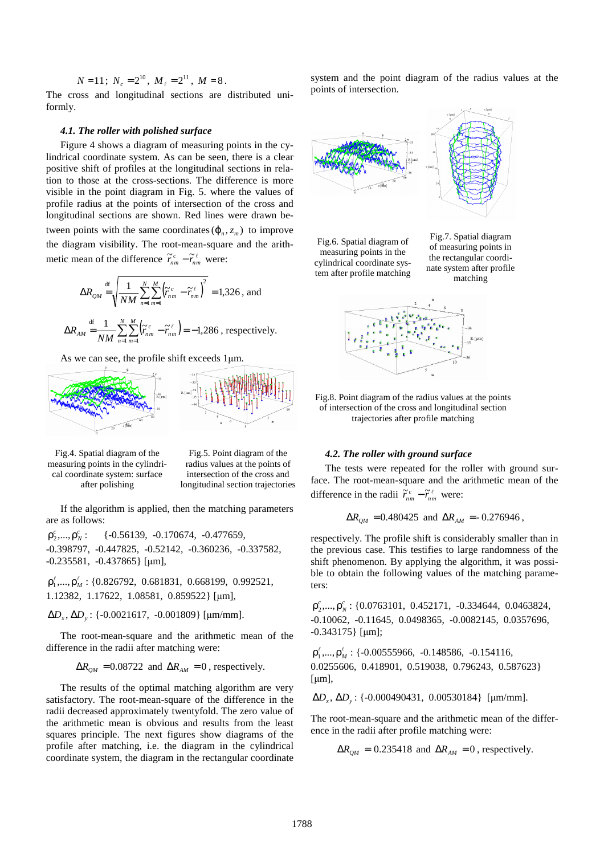$$
N=11\,;\;N_c=2^{10},\;M_{\ell}=2^{11},\;M=8\,.
$$

The cross and longitudinal sections are distributed uniformly.

# *4.1. The roller with polished surface*

Figure 4 shows a diagram of measuring points in the cylindrical coordinate system. As can be seen, there is a clear positive shift of profiles at the longitudinal sections in relation to those at the cross-sections. The difference is more visible in the point diagram in Fig. 5. where the values of profile radius at the points of intersection of the cross and longitudinal sections are shown. Red lines were drawn between points with the same coordinates  $(\varphi_n, z_m)$  to improve the diagram visibility. The root-mean-square and the arithmetic mean of the difference  $\tilde{r}_{nm}^c - \tilde{r}_{nm}^\ell$  were:

$$
\Delta R_{QM} \stackrel{\text{df}}{=} \sqrt{\frac{1}{NM} \sum_{n=1}^{N} \sum_{m=1}^{M} (\widetilde{r}_{nm}^c - \widetilde{r}_{nm}^{\ell})^2} = 1,326, \text{ and}
$$

$$
\Delta R_{AM} \stackrel{\text{df}}{=} \frac{1}{NM} \sum_{n=1}^{N} \sum_{m=1}^{M} \left( \widetilde{r}_{nm}^{c} - \widetilde{r}_{nm}^{e} \right) = -1,286 \text{ , respectively.}
$$

As we can see, the profile shift exceeds 1µm.



Fig.4. Spatial diagram of the measuring points in the cylindrical coordinate system: surface after polishing

Fig.5. Point diagram of the radius values at the points of intersection of the cross and longitudinal section trajectories

If the algorithm is applied, then the matching parameters are as follows:

 $\rho_2^c$ ,..., $\rho_N^c$  $\{-0.56139, -0.170674, -0.477659,$ -0.398797, -0.447825, -0.52142, -0.360236, -0.337582, -0.235581, -0.437865} [µm],

 $\rho_1^{\ell}, \ldots, \rho_M^{\ell}$ : {0.826792, 0.681831, 0.668199, 0.992521, 1.12382, 1.17622, 1.08581, 0.859522} [µm],

∆*D<sup>x</sup>* ∆*D<sup>y</sup>* , : {-0.0021617, -0.001809} [µm/mm].

The root-mean-square and the arithmetic mean of the difference in the radii after matching were:

 $\Delta R_{OM} = 0.08722$  and  $\Delta R_{AM} = 0$ , respectively.

The results of the optimal matching algorithm are very satisfactory. The root-mean-square of the difference in the radii decreased approximately twentyfold. The zero value of the arithmetic mean is obvious and results from the least squares principle. The next figures show diagrams of the profile after matching, i.e. the diagram in the cylindrical coordinate system, the diagram in the rectangular coordinate system and the point diagram of the radius values at the points of intersection.



Fig.6. Spatial diagram of measuring points in the cylindrical coordinate system after profile matching





Fig.8. Point diagram of the radius values at the points of intersection of the cross and longitudinal section trajectories after profile matching

# *4.2. The roller with ground surface*

The tests were repeated for the roller with ground surface. The root-mean-square and the arithmetic mean of the difference in the radii  $\tilde{r}_{nm}^c - \tilde{r}_{nm}^{\ell}$  were:

$$
\Delta R_{\text{QM}} = 0.480425
$$
 and  $\Delta R_{\text{AM}} = -0.276946$ ,

respectively. The profile shift is considerably smaller than in the previous case. This testifies to large randomness of the shift phenomenon. By applying the algorithm, it was possible to obtain the following values of the matching parameters:

*c N c* ρ2 ,...,ρ : {0.0763101, 0.452171, -0.334644, 0.0463824, -0.10062, -0.11645, 0.0498365, -0.0082145, 0.0357696, -0.343175} [µm];

 $\rho_1^{\ell}, \ldots, \rho_M^{\ell}$ : {-0.00555966, -0.148586, -0.154116, 0.0255606, 0.418901, 0.519038, 0.796243, 0.587623}  $[µm]$ ,

∆*D<sup>x</sup>* ∆*D<sup>y</sup>* , : {-0.000490431, 0.00530184} [µm/mm].

The root-mean-square and the arithmetic mean of the difference in the radii after profile matching were:

 $\Delta R_{OM} = 0.235418$  and  $\Delta R_{AM} = 0$ , respectively.